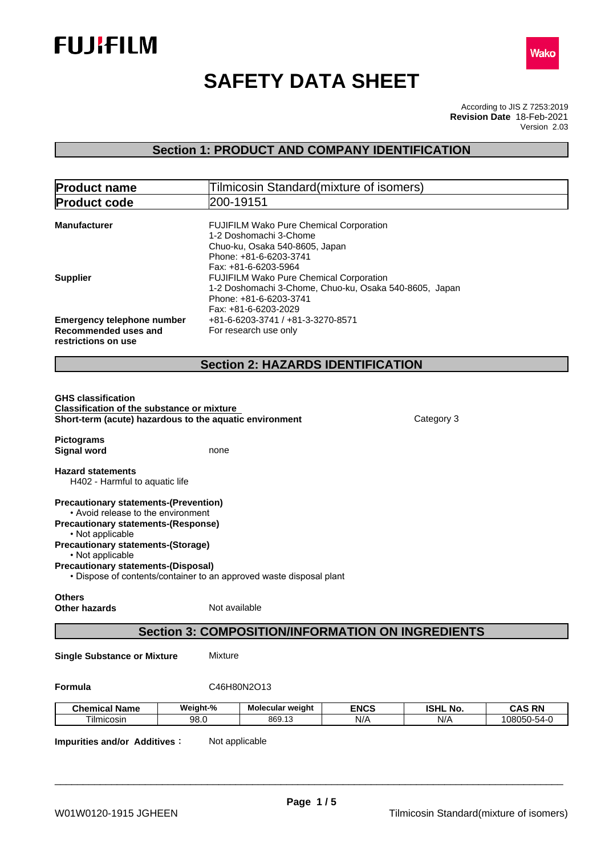



# **SAFETY DATA SHEET**

According to JIS Z 7253:2019 Version 2.03 **Revision Date** 18-Feb-2021

# **Section 1: PRODUCT AND COMPANY IDENTIFICATION**

| <b>Product name</b>                                                                                                                                                                               |                | Tilmicosin Standard (mixture of isomers)                                                                                                                                    |             |                 |               |
|---------------------------------------------------------------------------------------------------------------------------------------------------------------------------------------------------|----------------|-----------------------------------------------------------------------------------------------------------------------------------------------------------------------------|-------------|-----------------|---------------|
| <b>Product code</b>                                                                                                                                                                               |                | 200-19151                                                                                                                                                                   |             |                 |               |
| <b>Manufacturer</b>                                                                                                                                                                               |                | FUJIFILM Wako Pure Chemical Corporation<br>1-2 Doshomachi 3-Chome<br>Chuo-ku, Osaka 540-8605, Japan<br>Phone: +81-6-6203-3741                                               |             |                 |               |
| <b>Supplier</b>                                                                                                                                                                                   |                | Fax: +81-6-6203-5964<br>FUJIFILM Wako Pure Chemical Corporation<br>1-2 Doshomachi 3-Chome, Chuo-ku, Osaka 540-8605, Japan<br>Phone: +81-6-6203-3741<br>Fax: +81-6-6203-2029 |             |                 |               |
| <b>Emergency telephone number</b><br>Recommended uses and<br>restrictions on use                                                                                                                  |                | +81-6-6203-3741 / +81-3-3270-8571<br>For research use only                                                                                                                  |             |                 |               |
|                                                                                                                                                                                                   |                | <b>Section 2: HAZARDS IDENTIFICATION</b>                                                                                                                                    |             |                 |               |
| <b>GHS classification</b><br><b>Classification of the substance or mixture</b><br>Short-term (acute) hazardous to the aquatic environment                                                         |                |                                                                                                                                                                             |             | Category 3      |               |
| <b>Pictograms</b><br><b>Signal word</b>                                                                                                                                                           | none           |                                                                                                                                                                             |             |                 |               |
| <b>Hazard statements</b><br>H402 - Harmful to aquatic life                                                                                                                                        |                |                                                                                                                                                                             |             |                 |               |
| <b>Precautionary statements-(Prevention)</b><br>• Avoid release to the environment<br><b>Precautionary statements-(Response)</b><br>• Not applicable<br><b>Precautionary statements-(Storage)</b> |                |                                                                                                                                                                             |             |                 |               |
| • Not applicable<br><b>Precautionary statements-(Disposal)</b>                                                                                                                                    |                | • Dispose of contents/container to an approved waste disposal plant                                                                                                         |             |                 |               |
|                                                                                                                                                                                                   |                |                                                                                                                                                                             |             |                 |               |
| <b>Others</b><br><b>Other hazards</b>                                                                                                                                                             | Not available  |                                                                                                                                                                             |             |                 |               |
|                                                                                                                                                                                                   |                | <b>Section 3: COMPOSITION/INFORMATION ON INGREDIENTS</b>                                                                                                                    |             |                 |               |
| <b>Single Substance or Mixture</b>                                                                                                                                                                | <b>Mixture</b> |                                                                                                                                                                             |             |                 |               |
| Formula                                                                                                                                                                                           |                | C46H80N2O13                                                                                                                                                                 |             |                 |               |
| <b>Chemical Name</b>                                                                                                                                                                              | Weight-%       | Molecular weight                                                                                                                                                            | <b>ENCS</b> | <b>ISHL No.</b> | <b>CAS RN</b> |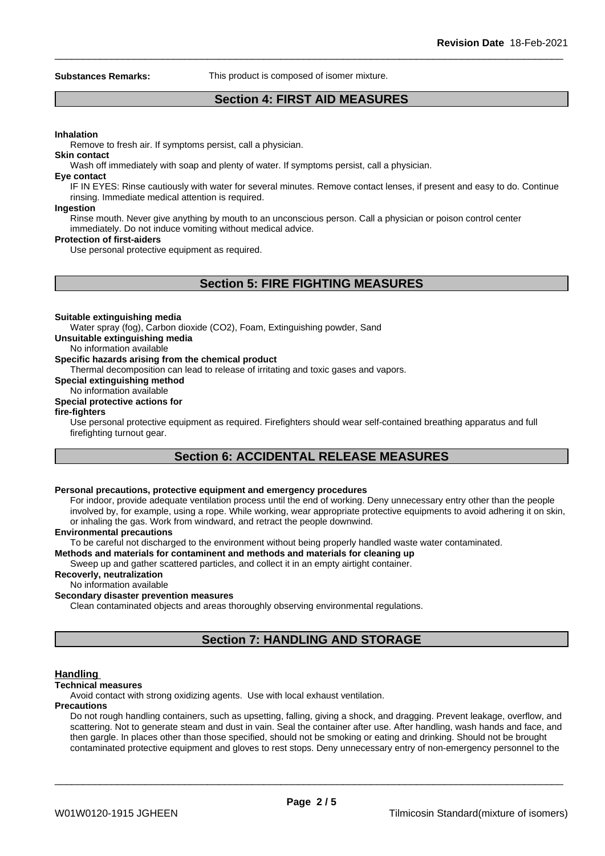**Substances Remarks:** This product is composed of isomer mixture.

# **Section 4: FIRST AID MEASURES**

#### **Inhalation**

Remove to fresh air. If symptoms persist, call a physician.

**Skin contact**

Wash off immediately with soap and plenty of water. If symptoms persist, call a physician.

#### **Eye contact**

IF IN EYES: Rinse cautiously with water for several minutes. Remove contact lenses, if present and easy to do. Continue rinsing. Immediate medical attention is required.

#### **Ingestion**

Rinse mouth. Never give anything by mouth to an unconscious person. Call a physician or poison control center immediately. Do not induce vomiting without medical advice.

#### **Protection of first-aiders**

Use personal protective equipment as required.

# **Section 5: FIRE FIGHTING MEASURES**

#### **Suitable extinguishing media**

Water spray (fog), Carbon dioxide (CO2), Foam, Extinguishing powder, Sand

**Unsuitable extinguishing media**

# No information available

### **Specific hazards arising from the chemical product**

Thermal decomposition can lead to release of irritating and toxic gases and vapors.

### **Special extinguishing method**

## No information available

#### **Special protective actions for**

#### **fire-fighters**

Use personal protective equipment as required.Firefighters should wear self-contained breathing apparatus and full firefighting turnout gear.

# **Section 6: ACCIDENTAL RELEASE MEASURES**

#### **Personal precautions, protective equipment and emergency procedures**

For indoor, provide adequate ventilation process until the end of working. Deny unnecessary entry other than the people involved by, for example, using a rope. While working, wear appropriate protective equipments to avoid adhering it on skin, or inhaling the gas. Work from windward, and retract the people downwind.

#### **Environmental precautions**

To be careful not discharged to the environment without being properly handled waste water contaminated.

# **Methods and materials for contaminent and methods and materials for cleaning up**

Sweep up and gather scattered particles, and collect it in an empty airtight container.

# **Recoverly, neutralization**

# No information available

# **Secondary disaster prevention measures**

Clean contaminated objects and areas thoroughly observing environmental regulations.

# **Section 7: HANDLING AND STORAGE**

#### **Handling**

#### **Technical measures**

Avoid contact with strong oxidizing agents. Use with local exhaust ventilation.

#### **Precautions**

Do not rough handling containers, such as upsetting, falling, giving a shock, and dragging. Prevent leakage, overflow, and scattering. Not to generate steam and dust in vain. Seal the container after use. After handling, wash hands and face, and then gargle. In places other than those specified, should not be smoking or eating and drinking. Should not be brought contaminated protective equipment and gloves to rest stops. Deny unnecessary entry of non-emergency personnel to the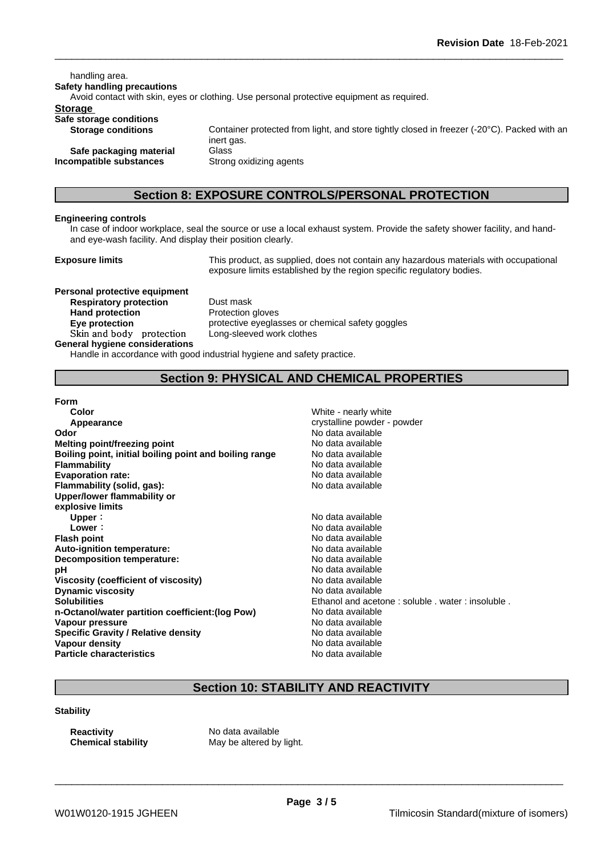handling area. **Safety handling precautions** Avoid contact with skin, eyes or clothing. Use personal protective equipment as required.**Storage Safe storage conditions Storage conditions** Container protected from light, and store tightly closed in freezer (-20°C). Packed with an inert gas. **Safe packaging material** Glass **Incompatible substances** Strong oxidizing agents

**Section 8: EXPOSURE CONTROLS/PERSONAL PROTECTION**

# **Engineering controls**

In case of indoor workplace, seal the source or use a local exhaust system. Provide the safety shower facility, and handand eye-wash facility. And display their position clearly.

**Exposure limits** This product, as supplied, does not contain any hazardous materials with occupational exposure limits established by the region specific regulatory bodies.

**Personal protective equipment Respiratory protection** Dust mask **Hand protection** Protection gloves **Skinandbody protection** Long-sleeved work clothes **General hygiene considerations**

**Eve protection Eve protective eyeglasses or chemical safety goggles** 

Handle in accordance with good industrial hygiene and safety practice.

# **Section 9: PHYSICAL AND CHEMICAL PROPERTIES**

**Form**

**Color** White - nearly white  $\sim$  Movement 2008. White - nearly white **Appearance** crystalline powder - powder - powder - powder - powder - powder - powder - powder - powder - powder - powder - powder - powder - powder - powder - powder - powder - powder - powder - powder - powder - powder -**Odor Odor** No data available<br> **Melting point/freezing point No data available Melting point/freezing point Boiling point, initial boiling point and boiling range** No data available **Flammability**<br> **Flammability**<br> **Evaporation rate:**<br>
No data available **Evaporation rate:** No data available **Flammability** (solid, gas): **Upper/lower flammability or explosive limits Upper** : **No data available**<br> **Lower** : **No data available**<br>
No data available **Flash point** No data available **Auto-ignition temperature:** No data available **Decomposition temperature:** No data available **pH** No data available<br>Viscosity (coefficient of viscosity) No data available **Viscosity** (coefficient of viscosity) **Dynamic viscosity No data available No data available No data available Solubilities** Ethanol and acetone : soluble . water : insoluble . **n-Octanol/water partition coefficient:(log Pow) No data available Vapour pressure** No data available **Specific Gravity / Relative density** No data available<br> **Vapour density** No data available **Vapour density Particle characteristics** No data available

**Lower:** No data available

# **Section 10: STABILITY AND REACTIVITY**

#### **Stability**

**Reactivity** No data available

**Chemical stability** May be altered by light.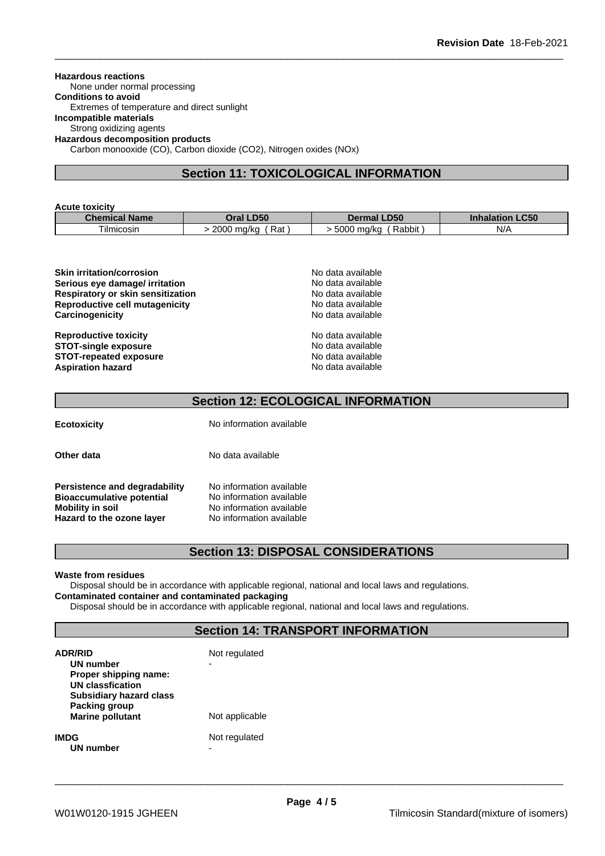#### **Hazardous reactions**

None under normal processing

**Conditions to avoid** Extremes of temperature and direct sunlight

# **Incompatible materials**

Strong oxidizing agents

**Hazardous decomposition products**

Carbon monooxide (CO), Carbon dioxide (CO2), Nitrogen oxides (NOx)

# **Section 11: TOXICOLOGICAL INFORMATION**

| <b>Acute toxicity</b> |                            |                           |                           |
|-----------------------|----------------------------|---------------------------|---------------------------|
| <b>Chemical Name</b>  | <b>LD50</b><br><b>Dral</b> | <b>LD50</b><br>Dermal     | <b>LC50</b><br>Inhalation |
| Tilmicosin            | Rat<br>2000.<br>) ma/ka    | Rabbit<br>5000<br>) ma/ka | N/A                       |

| <b>Skin irritation/corrosion</b>         | No data available |  |
|------------------------------------------|-------------------|--|
| Serious eye damage/ irritation           | No data available |  |
| <b>Respiratory or skin sensitization</b> | No data available |  |
| <b>Reproductive cell mutagenicity</b>    | No data available |  |
| Carcinogenicity                          | No data available |  |
| <b>Reproductive toxicity</b>             | No data available |  |
| <b>STOT-single exposure</b>              | No data available |  |
| <b>STOT-repeated exposure</b>            | No data available |  |
| <b>Aspiration hazard</b>                 | No data available |  |

# **Section 12: ECOLOGICAL INFORMATION**

**Ecotoxicity** No information available

**Other data** No data available

**Persistence and degradability** No information available<br>**Bioaccumulative potential** No information available **Bioaccumulative potential Mobility** in soil **Mobility in** Soil No information available **Hazard to the ozone layer** No information available

# **Section 13: DISPOSAL CONSIDERATIONS**

#### **Waste from residues**

Disposal should be in accordance with applicable regional, national and local laws and regulations. **Contaminated container and contaminated packaging**

Disposal should be in accordance with applicable regional, national and local laws and regulations.

# **Section 14: TRANSPORT INFORMATION**

| <b>ADR/RID</b><br>UN number<br>Proper shipping name:<br><b>UN classfication</b><br><b>Subsidiary hazard class</b> | Not regulated<br>- |
|-------------------------------------------------------------------------------------------------------------------|--------------------|
| Packing group<br><b>Marine pollutant</b>                                                                          | Not applicable     |
| <b>IMDG</b><br>UN number                                                                                          | Not regulated<br>- |